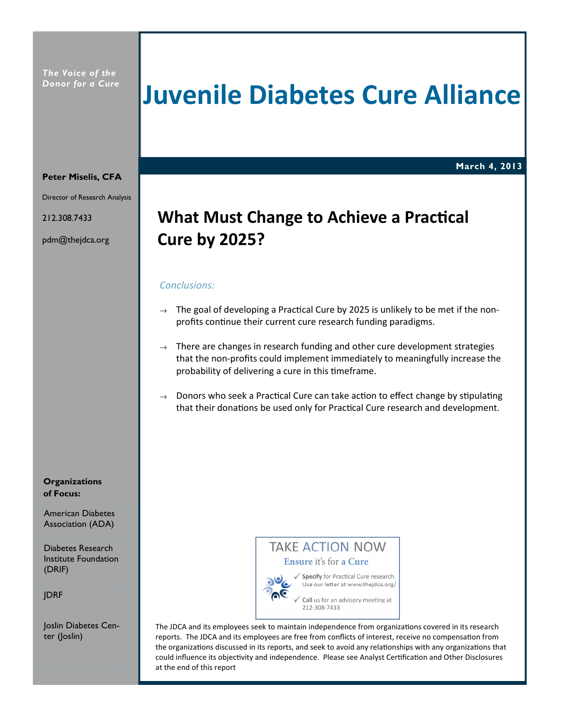The Voice of the Donor for a Cure

# Juvenile Diabetes Cure Alliance

March 4, 2013

#### Peter Miselis, CFA

Director of Research Analysis

212.308.7433

pdm@thejdca.org

## What Must Change to Achieve a Practical Cure by 2025?

#### Conclusions:

- $\rightarrow$  The goal of developing a Practical Cure by 2025 is unlikely to be met if the nonprofits continue their current cure research funding paradigms.
- $\rightarrow$  There are changes in research funding and other cure development strategies that the non-profits could implement immediately to meaningfully increase the probability of delivering a cure in this timeframe.
- $\rightarrow$  Donors who seek a Practical Cure can take action to effect change by stipulating that their donations be used only for Practical Cure research and development.

#### **Organizations** of Focus:

American Diabetes Association (ADA)

Diabetes Research Institute Foundation (DRIF)

JDRF

Joslin Diabetes Center (Joslin)



The JDCA and its employees seek to maintain independence from organizations covered in its research reports. The JDCA and its employees are free from conflicts of interest, receive no compensation from the organizations discussed in its reports, and seek to avoid any relationships with any organizations that could influence its objectivity and independence. Please see Analyst Certification and Other Disclosures at the end of this report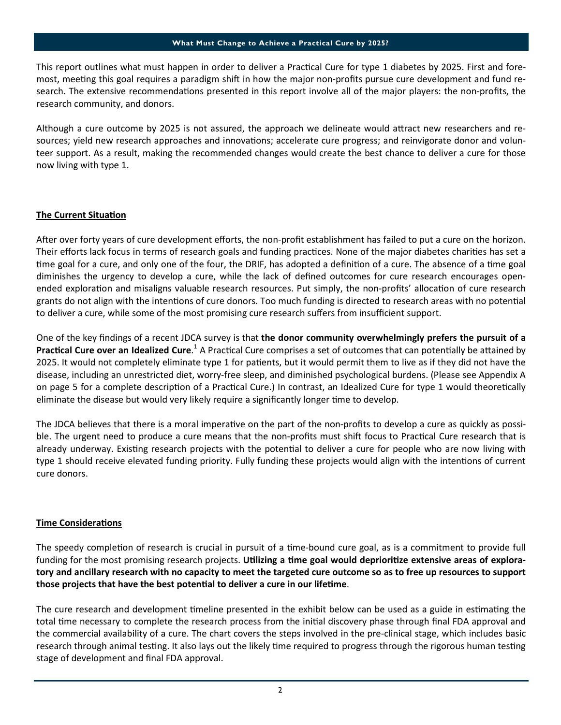#### What Must Change to Achieve a Practical Cure by 2025?

This report outlines what must happen in order to deliver a Practical Cure for type 1 diabetes by 2025. First and foremost, meeting this goal requires a paradigm shift in how the major non-profits pursue cure development and fund research. The extensive recommendations presented in this report involve all of the major players: the non-profits, the research community, and donors.

Although a cure outcome by 2025 is not assured, the approach we delineate would attract new researchers and resources; yield new research approaches and innovations; accelerate cure progress; and reinvigorate donor and volunteer support. As a result, making the recommended changes would create the best chance to deliver a cure for those now living with type 1.

#### The Current Situation

After over forty years of cure development efforts, the non-profit establishment has failed to put a cure on the horizon. Their efforts lack focus in terms of research goals and funding practices. None of the major diabetes charities has set a time goal for a cure, and only one of the four, the DRIF, has adopted a definition of a cure. The absence of a time goal diminishes the urgency to develop a cure, while the lack of defined outcomes for cure research encourages openended exploration and misaligns valuable research resources. Put simply, the non-profits' allocation of cure research grants do not align with the intentions of cure donors. Too much funding is directed to research areas with no potential to deliver a cure, while some of the most promising cure research suffers from insufficient support.

One of the key findings of a recent JDCA survey is that the donor community overwhelmingly prefers the pursuit of a Practical Cure over an Idealized Cure.<sup>1</sup> A Practical Cure comprises a set of outcomes that can potentially be attained by 2025. It would not completely eliminate type 1 for patients, but it would permit them to live as if they did not have the disease, including an unrestricted diet, worry-free sleep, and diminished psychological burdens. (Please see Appendix A on page 5 for a complete description of a Practical Cure.) In contrast, an Idealized Cure for type 1 would theoretically eliminate the disease but would very likely require a significantly longer time to develop.

The JDCA believes that there is a moral imperative on the part of the non-profits to develop a cure as quickly as possible. The urgent need to produce a cure means that the non-profits must shift focus to Practical Cure research that is already underway. Existing research projects with the potential to deliver a cure for people who are now living with type 1 should receive elevated funding priority. Fully funding these projects would align with the intentions of current cure donors.

#### **Time Considerations**

The speedy completion of research is crucial in pursuit of a time-bound cure goal, as is a commitment to provide full funding for the most promising research projects. Utilizing a time goal would deprioritize extensive areas of exploratory and ancillary research with no capacity to meet the targeted cure outcome so as to free up resources to support those projects that have the best potential to deliver a cure in our lifetime.

The cure research and development timeline presented in the exhibit below can be used as a guide in estimating the total time necessary to complete the research process from the initial discovery phase through final FDA approval and the commercial availability of a cure. The chart covers the steps involved in the pre-clinical stage, which includes basic research through animal testing. It also lays out the likely time required to progress through the rigorous human testing stage of development and final FDA approval.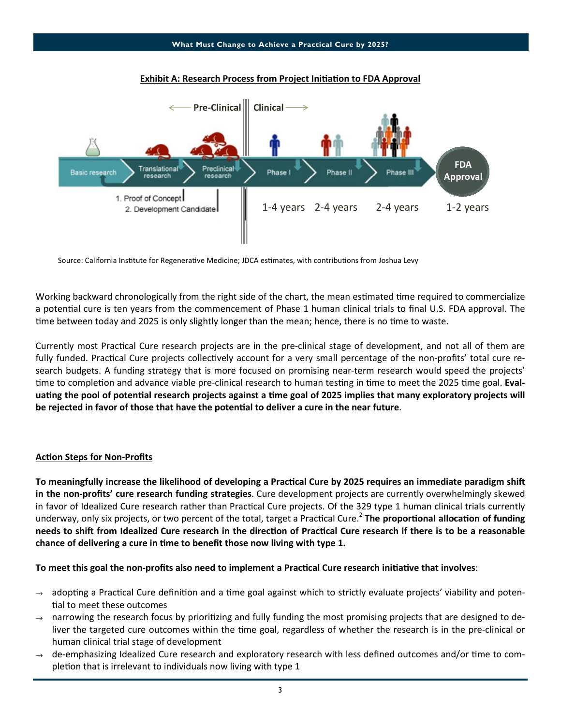

#### Exhibit A: Research Process from Project Initiation to FDA Approval

Source: California Institute for Regenerative Medicine; JDCA estimates, with contributions from Joshua Levy

Working backward chronologically from the right side of the chart, the mean estimated time required to commercialize a potential cure is ten years from the commencement of Phase 1 human clinical trials to final U.S. FDA approval. The time between today and 2025 is only slightly longer than the mean; hence, there is no time to waste.

Currently most Practical Cure research projects are in the pre-clinical stage of development, and not all of them are fully funded. Practical Cure projects collectively account for a very small percentage of the non-profits' total cure research budgets. A funding strategy that is more focused on promising near-term research would speed the projects' time to completion and advance viable pre-clinical research to human testing in time to meet the 2025 time goal. Evaluating the pool of potential research projects against a time goal of 2025 implies that many exploratory projects will be rejected in favor of those that have the potential to deliver a cure in the near future.

#### **Action Steps for Non-Profits**

To meaningfully increase the likelihood of developing a Practical Cure by 2025 requires an immediate paradigm shift in the non-profits' cure research funding strategies. Cure development projects are currently overwhelmingly skewed in favor of Idealized Cure research rather than Practical Cure projects. Of the 329 type 1 human clinical trials currently underway, only six projects, or two percent of the total, target a Practical Cure.<sup>2</sup> The proportional allocation of funding needs to shift from Idealized Cure research in the direction of Practical Cure research if there is to be a reasonable chance of delivering a cure in time to benefit those now living with type 1.

#### To meet this goal the non-profits also need to implement a Practical Cure research initiative that involves:

- $\rightarrow$  adopting a Practical Cure definition and a time goal against which to strictly evaluate projects' viability and potential to meet these outcomes
- $\rightarrow$  narrowing the research focus by prioritizing and fully funding the most promising projects that are designed to deliver the targeted cure outcomes within the time goal, regardless of whether the research is in the pre-clinical or human clinical trial stage of development
- de-emphasizing Idealized Cure research and exploratory research with less defined outcomes and/or time to completion that is irrelevant to individuals now living with type 1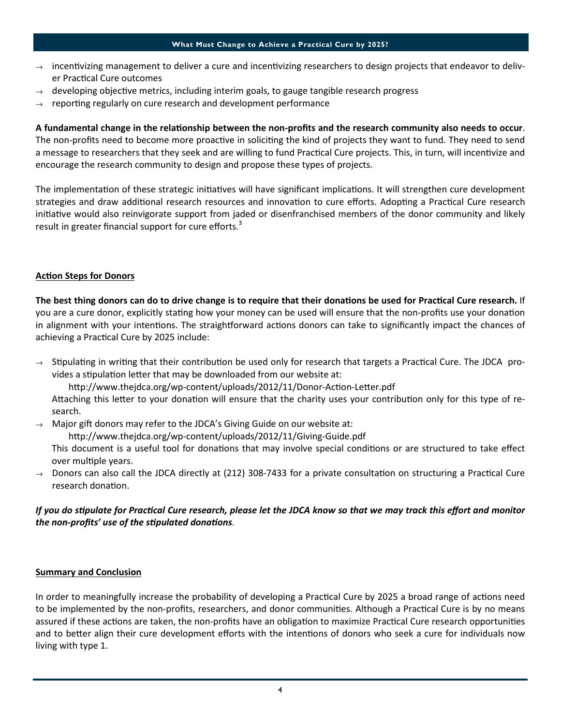- $\rightarrow$  incentivizing management to deliver a cure and incentivizing researchers to design projects that endeavor to deliver Practical Cure outcomes
- developing objective metrics, including interim goals, to gauge tangible research progress
- $\rightarrow$  reporting regularly on cure research and development performance

A fundamental change in the relationship between the non-profits and the research community also needs to occur. The non-profits need to become more proactive in soliciting the kind of projects they want to fund. They need to send a message to researchers that they seek and are willing to fund Practical Cure projects. This, in turn, will incentivize and encourage the research community to design and propose these types of projects.

The implementation of these strategic initiatives will have significant implications. It will strengthen cure development strategies and draw additional research resources and innovation to cure efforts. Adopting a Practical Cure research initiative would also reinvigorate support from jaded or disenfranchised members of the donor community and likely result in greater financial support for cure efforts.<sup>3</sup>

#### **Action Steps for Donors**

The best thing donors can do to drive change is to require that their donations be used for Practical Cure research. If you are a cure donor, explicitly stating how your money can be used will ensure that the non-profits use your donation in alignment with your intentions. The straightforward actions donors can take to significantly impact the chances of achieving a Practical Cure by 2025 include:

 $\rightarrow$  Stipulating in writing that their contribution be used only for research that targets a Practical Cure. The JDCA provides a stipulation letter that may be downloaded from our website at:

http://www.thejdca.org/wp-content/uploads/2012/11/Donor-Action-Letter.pdf

Attaching this letter to your donation will ensure that the charity uses your contribution only for this type of research.

Major gift donors may refer to the JDCA's Giving Guide on our website at:

http://www.thejdca.org/wp-content/uploads/2012/11/Giving-Guide.pdf

This document is a useful tool for donations that may involve special conditions or are structured to take effect over multiple years.

 $\rightarrow$  Donors can also call the JDCA directly at (212) 308-7433 for a private consultation on structuring a Practical Cure research donation.

#### If you do stipulate for Practical Cure research, please let the JDCA know so that we may track this effort and monitor the non-profits' use of the stipulated donations.

#### Summary and Conclusion

In order to meaningfully increase the probability of developing a Practical Cure by 2025 a broad range of actions need to be implemented by the non-profits, researchers, and donor communities. Although a Practical Cure is by no means assured if these actions are taken, the non-profits have an obligation to maximize Practical Cure research opportunities and to better align their cure development efforts with the intentions of donors who seek a cure for individuals now living with type 1.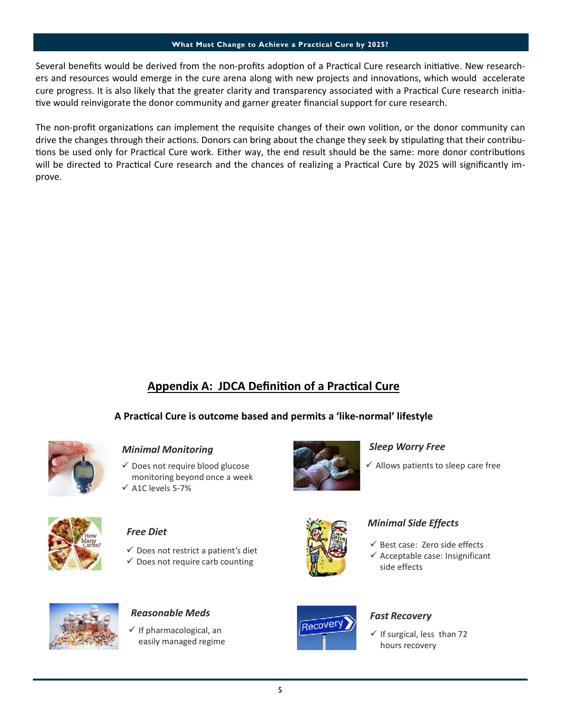#### What Must Change to Achieve a Practical Cure by 2025?

Several benefits would be derived from the non-profits adoption of a Practical Cure research initiative. New researchers and resources would emerge in the cure arena along with new projects and innovations, which would accelerate cure progress. It is also likely that the greater clarity and transparency associated with a Practical Cure research initiative would reinvigorate the donor community and garner greater financial support for cure research.

The non-profit organizations can implement the requisite changes of their own volition, or the donor community can drive the changes through their actions. Donors can bring about the change they seek by stipulating that their contributions be used only for Practical Cure work. Either way, the end result should be the same: more donor contributions will be directed to Practical Cure research and the chances of realizing a Practical Cure by 2025 will significantly improve.

## Appendix A: JDCA Definition of a Practical Cure

### A Practical Cure is outcome based and permits a 'like-normal' lifestyle



#### Minimal Monitoring

- $\checkmark$  Does not require blood glucose monitoring beyond once a week
- $\checkmark$  A1C levels 5-7%



### Free Diet

- $\checkmark$  Does not restrict a patient's diet
- $\checkmark$  Does not require carb counting



#### Sleep Worry Free

 $\checkmark$  Allows patients to sleep care free



#### Minimal Side Effects

- $\checkmark$  Best case: Zero side effects
- $\checkmark$  Acceptable case: Insignificant side effects



 $\checkmark$  If pharmacological, an easily managed regime



 $\checkmark$  If surgical, less than 72 hours recovery